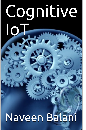# ognitive

## Naveen Balan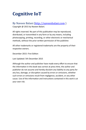### **Cognitive IoT**

#### By Naveen Balani [\(http://naveenbalani.com](http://naveenbalani.com) )

Copyright @ 2015 by Naveen Balani.

All rights reserved. No part of this publication may be reproduced, distributed, or transmitted in any form or by any means, including photocopying, printing, recording, or other electronic or mechanical methods, without the prior written permission of the publisher.

All other trademarks or registered trademarks are the property of their respective owners.

December 2015: First Edition

Last Updated: 5th December 2015

Although the author and publisher have made every effort to ensure that the information in this book was correct at press time, the author and publisher do not assume and hereby disclaim any liability to any party for any loss, damage, or disruption caused by errors or omissions, whether such errors or omissions result from negligence, accident, or any other cause. Use of the information and instructions contained in this work is at your own risk.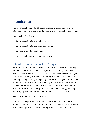#### **Introduction**

This is a short ebook under 15 pages targeted to get an overview on Internet of Things and Cognitive Computing and synergies between them.

The book has 4 sections -

- 1. Introduction to Internet of Things.
- 2. Introduction to Cognitive Computing.
- 3. Cognitive Internet of Things
- 4. The architecture of a connected world.

#### **Introduction to Internet of Things**

It's 5:30 am in the morning, I have a flight to catch at 7:00 am, I wake up, get ready and rush to catch up the flight to see its late by 1 hour, I didn't receive any SMS on the flight delay. I wish I could have checked the flight status before leaving or would be better my alarm could have rung after checking my flight status, changed my taxi booking and given me sufficient time to sleep. Well, I am not day dreaming and welcome to the world of IoT, where such kind of experiences is a reality. These are just one of the many experiences. The real experiences would be technology touching our everyday lives and making it easier and a better place to live.

If you haven't heard about IoT, IoT is -

"Internet of Things is a vision where every object in the world has the potential to connect to the Internet and provide their data so as to derive actionable insights on its own or through other connected objects"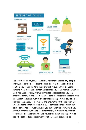

The object can be anything  $-$  a vehicle, machinery, airport, city, people, phone, shoe or the clock I described earlier. From a connected vehicle solution, you can understand the driver behaviour and vehicle usage patterns, from a connected machines solution you can determine when do machines need servicing, from a connected airport solution you can understand many things like - how much time the passenger needs to wait for check-in and security, from an operational perspective it could help to optimize the passenger movement and ensure the right equipment are available at the right time to ensure quick serviceability and finally say, from a connected footwear solution you can understand how much you have run so far and your app can automatically purchase a new pair of shoes based on the remaining shoe life. From a technical perspective to track the data and send/receive information, the object should be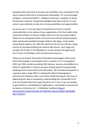equipped with some kind of sensors and controllers, plus connected to the some medium (internet) to send/receive information. IoT can be thought of Object + Sensor/Controller's + Medium (Internet) + Analytics to derive the business outcome. Though technologies have been around, it's now under a new umbrella, to take care of new possibilities and opportunities.

As we can see, it's not just about connectivity, but how to use the connected data in the context of your application or for that matter other connected solutions to derive insights which can't be uncovered before. Today we are seeing data (both structured and unstructured) growing by leaps and bounds available through mediums like blogs, social media, transactional systems, etc. With the advent of the IoT, you will see a large volume of raw data emitting from devices like sensors. Such huge and complex set of data, if not attended to, can go wasted and opportunity lost in terms of building a smart environment around us.

Today we are living in the world of disruptive technologies where every kind of technology is connected to form a solution. IoT is no exception. With over 100+ vendors providing 100+ devices, services and platforms to build IoT applications, and plus we have existing systems having already employed some connectivity and automation, like manufacturing plants, it is going to take a huge effort in making this vibrant heterogeneous environment of devices talk to each other. While focusing on the issue of addressing this web of complexity, understanding the real benefit of loT and most importantly how to get started on IoT is lost. If you are looking to get started on and building IoT applications, I would like to recommend my book on Enterprise  $I$ oT – A Definitive handbook (http:// www.amazon.com/Enterprise-IoT-Definitive-Naveen-Balani-ebook/dp/

B01724HIOC/)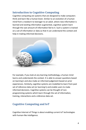#### **Introduction to Cognitive Computing**

Cognitive computing are systems that are designed to make computers think and learn like a human brain. Similar to an evolution of a human mind from a newborn to teenager to an adult, where new information is learned and existing information augmented, cognitive system learn through the vast amount of information fed to it. Such a system is trained on a set of information or data so that it can understand the context and help in making informed decisions.



For example, if you look at any learning methodology, a human mind learns and understands the context. It is able to answer questions based on learning's and also make an informed judgement based on prior experiences. Similarly, cognitive systems are modelled to learn from past set of reference data set (or learning's) and enable users to make informed decisions. Cognitive systems can be thought of nonprogramming systems which learn through the set of information, training, interactions and a reference data set.

#### **Cognitive Computing and IoT**

Cognitive Internet of Things is about enabling current IoT technologies with human-like intelligence.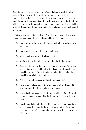Cognitive systems in the context of IoT would play a key role in future. Imagine 10 years down the line where every piece of a system is connected to the internet and probably an integral part of everyday lives and information being shared continuously, how you would like to interact with these smart devices which surround you. It would be virtually talking to smart devices and devices responding to you based on your action and behaviour.

Let's take an example of a cognitive IoT application. I have taken a very simple example to get the technology and benefits across.

- 1. I step out of my home and the home electricity turns into a power saver mode.
- 2. I step into the car and the car recognizes me.
- 3. My car seats are automatically adjusted.
- 4. My favorite music station is set and the play list is started.
- 5. Aggregated news for the day is available and tailored for me on my dashboard and read it out by the dashboard device. If I am travelling, weather forecast and news related to the place I am travelling is available as an add-on.
- 6. As I pass by malls, my car reminds to purchase stuff.
- 7. I sync my digital cart and get my purchases quickly. No need to move around, find things and put it to a physical cart.
- 8. I come back to my car, I start interacting with the Car in Natural human language instead of typing in numbers and searching for things.
- 9. I ask for good places for lunch which I haven't visited. Based on my past experiences and cuisine preference, ratings from third party sites, a set of recommendations are provided. I choose one of them.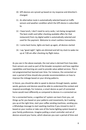- 10. GPS devices are synced up based on my response and direction's changed.
- 11. An alternative route is automatically selected based on traffic sensors and weather condition which the GPS device is subscribed to.
- 12. I have lunch, I don't need to carry cards, I am being recognized. The best credit card (after checking available offers for that restaurant) from my digital wallet is automatically selected and used for the payment. Welcome to smart cashless transactions.
- 13. I come back home, lights are back up again, all devices started
- 14. I say "good night", lights are dimmed and tell my clock to wake me up at 7:00 am after checking my flight status.

As you see in the above example, the real value is derived from how data from sensors are used as part of the broader ecosystem and how cognitive capabilities and learning are used to provide value added services. This is not programmed but learned over time. For instance, the connected car over a period of time should also provide recommendations on how to improve the mileage based on your driving patterns.

In future, you should be able to speak to devices through tweets, spoken words, gestures and devices would be able to understand the context and respond accordingly. For instance, a smart device as part of connected home would react differently as compared to devices in a connected car.

For a connected home, a cognitive IoT system can learn from you, set things up for you based on your patterns and movements, be it waking you up at the right time, start your coffee vending machines, sending you a WhatsApp message to start washing machine if you missed to start it based on your routine or take care of the home lighting system based on your family preferences. Imagine putting a smart controller and set of devices around your home, which observes you over a period of time and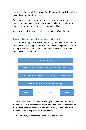start making intelligent decisions on Day 10 and continuously learn from you and your family interactions.

This is one of the areas where we would see a lot of innovation and investment happening in future and would be a key differentiator for connected products and extension to one's digital lives.

Next, we will look at how to realize the cognitive IoT architecture.

#### **The architecture of a connected word**

Let's start with a high level view of an IoT Cognitive Systems Architecture. The real value of IoT applications is realized by enabling them as part of existing applications and higher value-added services to create new innovative business solutions.



Let' start with what exists today. Creating an IoT Solution, requires a fundamental set of capabilities which is provided by an IoT platform. An IoT platform enables creating IoT solutions rapidly and at a minimum provides the following base set of capabilities.

An ability to register and connect things (devices)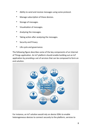- Ability to send and receive messages using some protocol.
- Manage subscription of these devices.
- Storage of messages.
- Visualization of messages.
- Analyzing the messages.
- Taking action after analyzing the messages.
- Security and Privacy
- Life cycle and governance.

The following figure describes some of the key components of an Internet of Things application. An IoT platform should enable building out an IoT application by providing a set of services that can be composed to form an end solution.



For instance, an IoT solution would rely on device SDKs to enable heterogeneous devices to connect securely to the platform, services to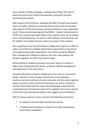store, analyze and filter messages, creating process flows and rules to determine what action needs to be executed, along with real-time monitoring and analysis.

With respect to IOT protocols, standards like MQTT & CoAP have evolved which are better suited for constrained environments than the standard web protocol (HTTP) and choosing a protocol depends on your application needs. There are evolving proposals like HPACK – Header Compression for HTTP/2 for compressing header fields in the requests which can be looked at for constrained devices. The point is with existing or new protocols, the IoT platform and sender/receiver needs to be aware of the protocol.

Also supporting a new device/hardware configuration requires an effort to make a set of libraries available which helps to get started on the device. The programming model supported for each device would be different. Also, management of billions of devices, life-cycle, code updates and firmware upgrades are still to be solved at large.

While existing IoT platforms provide a kick start, there is a need for a higher level of abstraction for devices, protocols, lifecycle management and deployment in the near future.

Secondly with devices being an integral part of our lives in a connected world, I envision a much stronger interconnect not just between machines, but also machine to human interaction and the whole cognitive aspects around it, where machines and humans (as well as machine to machine interaction) interacts using natural language, understand the context (based on the domains where IoT is applied), learns over a period of time from your behavioural patterns and suggest recommendations.

With the above aspects in mind, I propose the following architecture -

- An abstract communication protocols for devices.
- A Twitter-based architecture model for IoT with sophisticated event-driven capabilities.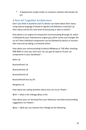A deployment model similar to container solutions like Docker for IoT.

#### **A New IoT Cognitive Architecture**

Don't you think it would be cool if a device can tweet about their status using natural language (instead of signals) and followers could pick up their status and do the next level of processing or take no action?

How about a car engine oil component communicating #change oil, which is followed by your maintenance engine guy which comes and changes the car oil? Here individual components can be followed by device or humans who may end up taking a corrective action.

How about you communicating to device #Wakeup at 7:00 after checking PNR #XXX or once you start your car, you get all reports of your car components in your dashboard  $-$ 

#oilcc ok

#cartyrefront1 ok

#cartyrefront2 ok

#cartyrefront3 ok

#cartyrefront4 less by 2%

#enginecc ok

How about you asking question about your car via an iTweet  $-$ 

 $@$ nb -> what is the mileage  $@$ xyz so far.

How about your car learning from your behaviour and data and providing suggestions via iTweets  $-$ 

 $@xyz$  ->  $@nb$  you can improve the mileage by the following...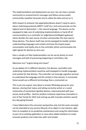The implementations and deployment can vary. You can have a private community to receive/restrict messages and follow various public communities (weather forecasts etc) to utilize the data and act on it.

With respect to protocol, the application/device doesn't need to worry about underlying protocols (MQTT, CoAP etc.) and communicate via the highest level of abstraction -> the natural language. The device can be equipped to take care of underlying implementations or hand off all communications to a controller (or edge/device/intillegent gateway) which decides the next course of action and provides the next step to these devices. The device itself may not be equipped to handle context, understanding languages and context and have the lowest power consumption and totally rely on the controller which communicates the right signals for devices to carry out.

Even a simple curl like implementation can be use by device to send messages and bulk of processing happening in controllers, like

#devicexx icurl "engine being shut down"

As we deploy IoT in different domains, the devices, controllers and underlying implementation would be well equipped to handle languages and context for that domain. The controller can leverage cognitive services to understand the language and the context in that domain. A connected home would use a different terminology than a connected car.

This is just one aspect, how about a private WhatsApp group for your devices, sharing their status and taking corrective action or a social community of connected cognitive devices, interconnected with your actual social profiles. Gartner predicts *Customer experience innovation* is one of Top Trends for 2015 and coming up with innovate solutions would be a key going forward.

I have talked about the consumer perspective only, but the same concepts can be extended to any service lifecycle of an object in any industry, right from its inception to its predictive maintenance and using this information as part of an existing application or new value added solutions to create innovate products and make lives safer and simpler.